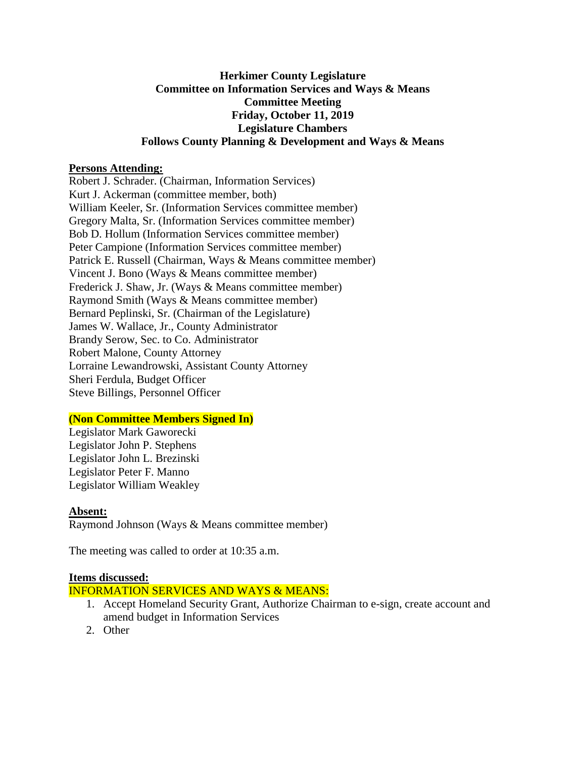## **Herkimer County Legislature Committee on Information Services and Ways & Means Committee Meeting Friday, October 11, 2019 Legislature Chambers Follows County Planning & Development and Ways & Means**

## **Persons Attending:**

Robert J. Schrader. (Chairman, Information Services) Kurt J. Ackerman (committee member, both) William Keeler, Sr. (Information Services committee member) Gregory Malta, Sr. (Information Services committee member) Bob D. Hollum (Information Services committee member) Peter Campione (Information Services committee member) Patrick E. Russell (Chairman, Ways & Means committee member) Vincent J. Bono (Ways & Means committee member) Frederick J. Shaw, Jr. (Ways & Means committee member) Raymond Smith (Ways & Means committee member) Bernard Peplinski, Sr. (Chairman of the Legislature) James W. Wallace, Jr., County Administrator Brandy Serow, Sec. to Co. Administrator Robert Malone, County Attorney Lorraine Lewandrowski, Assistant County Attorney Sheri Ferdula, Budget Officer Steve Billings, Personnel Officer

# **(Non Committee Members Signed In)**

Legislator Mark Gaworecki Legislator John P. Stephens Legislator John L. Brezinski Legislator Peter F. Manno Legislator William Weakley

#### **Absent:**

Raymond Johnson (Ways & Means committee member)

The meeting was called to order at 10:35 a.m.

#### **Items discussed:**

# INFORMATION SERVICES AND WAYS & MEANS:

- 1. Accept Homeland Security Grant, Authorize Chairman to e-sign, create account and amend budget in Information Services
- 2. Other